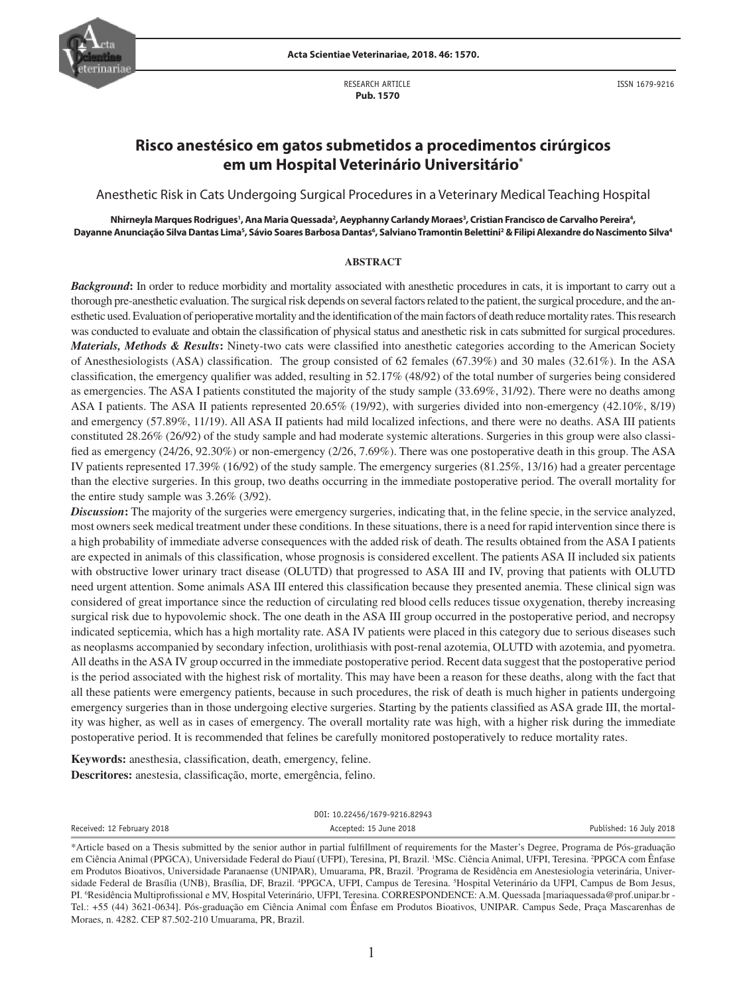

RESEARCH ARTICLE  **Pub. 1570**

ISSN 1679-9216

# **Risco anestésico em gatos submetidos a procedimentos cirúrgicos em um Hospital Veterinário Universitário\***

Anesthetic Risk in Cats Undergoing Surgical Procedures in a Veterinary Medical Teaching Hospital

Nhirneyla Marques Rodrigues', Ana Maria Quessada<sup>2</sup>, Aeyphanny Carlandy Moraes<sup>3</sup>, Cristian Francisco de Carvalho Pereira<sup>4</sup>, Dayanne Anunciação Silva Dantas Lima<sup>s</sup>, Sávio Soares Barbosa Dantas<sup>6</sup>, Salviano Tramontin Belettini<sup>2</sup> & Filipi Alexandre do Nascimento Silva<sup>4</sup>

#### **ABSTRACT**

*Background*: In order to reduce morbidity and mortality associated with anesthetic procedures in cats, it is important to carry out a thorough pre-anesthetic evaluation. The surgical risk depends on several factors related to the patient, the surgical procedure, and the anesthetic used. Evaluation of perioperative mortality and the identification of the main factors of death reduce mortality rates. This research was conducted to evaluate and obtain the classification of physical status and anesthetic risk in cats submitted for surgical procedures. *Materials, Methods & Results***:** Ninety-two cats were classified into anesthetic categories according to the American Society of Anesthesiologists (ASA) classification. The group consisted of 62 females (67.39%) and 30 males (32.61%). In the ASA classification, the emergency qualifier was added, resulting in 52.17% (48/92) of the total number of surgeries being considered as emergencies. The ASA I patients constituted the majority of the study sample (33.69%, 31/92). There were no deaths among ASA I patients. The ASA II patients represented 20.65% (19/92), with surgeries divided into non-emergency (42.10%, 8/19) and emergency (57.89%, 11/19). All ASA II patients had mild localized infections, and there were no deaths. ASA III patients constituted 28.26% (26/92) of the study sample and had moderate systemic alterations. Surgeries in this group were also classified as emergency (24/26, 92.30%) or non-emergency (2/26, 7.69%). There was one postoperative death in this group. The ASA IV patients represented 17.39% (16/92) of the study sample. The emergency surgeries (81.25%, 13/16) had a greater percentage than the elective surgeries. In this group, two deaths occurring in the immediate postoperative period. The overall mortality for the entire study sample was 3.26% (3/92).

**Discussion:** The majority of the surgeries were emergency surgeries, indicating that, in the feline specie, in the service analyzed, most owners seek medical treatment under these conditions. In these situations, there is a need for rapid intervention since there is a high probability of immediate adverse consequences with the added risk of death. The results obtained from the ASA I patients are expected in animals of this classification, whose prognosis is considered excellent. The patients ASA II included six patients with obstructive lower urinary tract disease (OLUTD) that progressed to ASA III and IV, proving that patients with OLUTD need urgent attention. Some animals ASA III entered this classification because they presented anemia. These clinical sign was considered of great importance since the reduction of circulating red blood cells reduces tissue oxygenation, thereby increasing surgical risk due to hypovolemic shock. The one death in the ASA III group occurred in the postoperative period, and necropsy indicated septicemia, which has a high mortality rate. ASA IV patients were placed in this category due to serious diseases such as neoplasms accompanied by secondary infection, urolithiasis with post-renal azotemia, OLUTD with azotemia, and pyometra. All deaths in the ASA IV group occurred in the immediate postoperative period. Recent data suggest that the postoperative period is the period associated with the highest risk of mortality. This may have been a reason for these deaths, along with the fact that all these patients were emergency patients, because in such procedures, the risk of death is much higher in patients undergoing emergency surgeries than in those undergoing elective surgeries. Starting by the patients classified as ASA grade III, the mortality was higher, as well as in cases of emergency. The overall mortality rate was high, with a higher risk during the immediate postoperative period. It is recommended that felines be carefully monitored postoperatively to reduce mortality rates.

**Keywords:** anesthesia, classification, death, emergency, feline. **Descritores:** anestesia, classificação, morte, emergência, felino.

DOI: 10.22456/1679-9216.82943

Received: 12 February 2018 **Accepted: 15 June 2018** Accepted: 15 June 2018 **Published: 16 July 2018** Published: 16 July 2018

<sup>\*</sup>Article based on a Thesis submitted by the senior author in partial fulfillment of requirements for the Master's Degree, Programa de Pós-graduação em Ciência Animal (PPGCA), Universidade Federal do Piauí (UFPI), Teresina, PI, Brazil. 'MSc. Ciência Animal, UFPI, Teresina. <sup>2</sup>PPGCA com Ênfase em Produtos Bioativos, Universidade Paranaense (UNIPAR), Umuarama, PR, Brazil. <sup>3</sup>Programa de Residência em Anestesiologia veterinária, Universidade Federal de Brasília (UNB), Brasília, DF, Brazil. <sup>4</sup>PPGCA, UFPI, Campus de Teresina. <sup>5</sup>Hospital Veterinário da UFPI, Campus de Bom Jesus, PI. <sup>6</sup>Residência Multiprofissional e MV, Hospital Veterinário, UFPI, Teresina. CORRESPONDENCE: A.M. Quessada [mariaquessada@prof.unipar.br -Tel.: +55 (44) 3621-0634]. Pós-graduação em Ciência Animal com Ênfase em Produtos Bioativos, UNIPAR. Campus Sede, Praça Mascarenhas de Moraes, n. 4282. CEP 87.502-210 Umuarama, PR, Brazil.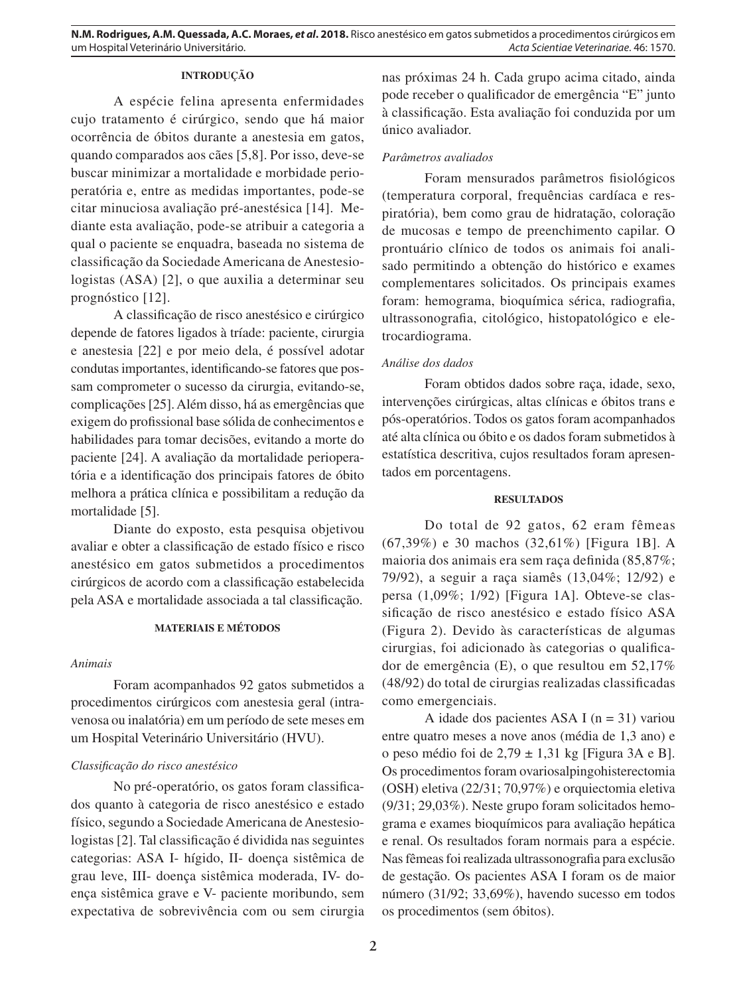## **INTRODUÇÃO**

A espécie felina apresenta enfermidades cujo tratamento é cirúrgico, sendo que há maior ocorrência de óbitos durante a anestesia em gatos, quando comparados aos cães [5,8]. Por isso, deve-se buscar minimizar a mortalidade e morbidade perioperatória e, entre as medidas importantes, pode-se citar minuciosa avaliação pré-anestésica [14]. Mediante esta avaliação, pode-se atribuir a categoria a qual o paciente se enquadra, baseada no sistema de classificação da Sociedade Americana de Anestesiologistas (ASA) [2], o que auxilia a determinar seu prognóstico [12].

A classificação de risco anestésico e cirúrgico depende de fatores ligados à tríade: paciente, cirurgia e anestesia [22] e por meio dela, é possível adotar condutas importantes, identificando-se fatores que possam comprometer o sucesso da cirurgia, evitando-se, complicações [25]. Além disso, há as emergências que exigem do profissional base sólida de conhecimentos e habilidades para tomar decisões, evitando a morte do paciente [24]. A avaliação da mortalidade perioperatória e a identificação dos principais fatores de óbito melhora a prática clínica e possibilitam a redução da mortalidade [5].

Diante do exposto, esta pesquisa objetivou avaliar e obter a classificação de estado físico e risco anestésico em gatos submetidos a procedimentos cirúrgicos de acordo com a classificação estabelecida pela ASA e mortalidade associada a tal classificação.

## **MATERIAIS E MÉTODOS**

## *Animais*

Foram acompanhados 92 gatos submetidos a procedimentos cirúrgicos com anestesia geral (intravenosa ou inalatória) em um período de sete meses em um Hospital Veterinário Universitário (HVU).

## *Classificação do risco anestésico*

No pré-operatório, os gatos foram classificados quanto à categoria de risco anestésico e estado físico, segundo a Sociedade Americana de Anestesiologistas [2]. Tal classificação é dividida nas seguintes categorias: ASA I- hígido, II- doença sistêmica de grau leve, III- doença sistêmica moderada, IV- doença sistêmica grave e V- paciente moribundo, sem expectativa de sobrevivência com ou sem cirurgia nas próximas 24 h. Cada grupo acima citado, ainda pode receber o qualificador de emergência "E" junto à classificação. Esta avaliação foi conduzida por um único avaliador.

#### *Parâmetros avaliados*

Foram mensurados parâmetros fisiológicos (temperatura corporal, frequências cardíaca e respiratória), bem como grau de hidratação, coloração de mucosas e tempo de preenchimento capilar. O prontuário clínico de todos os animais foi analisado permitindo a obtenção do histórico e exames complementares solicitados. Os principais exames foram: hemograma, bioquímica sérica, radiografia, ultrassonografia, citológico, histopatológico e eletrocardiograma.

### *Análise dos dados*

Foram obtidos dados sobre raça, idade, sexo, intervenções cirúrgicas, altas clínicas e óbitos trans e pós-operatórios. Todos os gatos foram acompanhados até alta clínica ou óbito e os dados foram submetidos à estatística descritiva, cujos resultados foram apresentados em porcentagens.

## **RESULTADOS**

Do total de 92 gatos, 62 eram fêmeas (67,39%) e 30 machos (32,61%) [Figura 1B]. A maioria dos animais era sem raça definida (85,87%; 79/92), a seguir a raça siamês (13,04%; 12/92) e persa (1,09%; 1/92) [Figura 1A]. Obteve-se classificação de risco anestésico e estado físico ASA (Figura 2). Devido às características de algumas cirurgias, foi adicionado às categorias o qualificador de emergência (E), o que resultou em 52,17% (48/92) do total de cirurgias realizadas classificadas como emergenciais.

A idade dos pacientes ASA I ( $n = 31$ ) variou entre quatro meses a nove anos (média de 1,3 ano) e o peso médio foi de 2,79 ± 1,31 kg [Figura 3A e B]. Os procedimentos foram ovariosalpingohisterectomia (OSH) eletiva (22/31; 70,97%) e orquiectomia eletiva (9/31; 29,03%). Neste grupo foram solicitados hemograma e exames bioquímicos para avaliação hepática e renal. Os resultados foram normais para a espécie. Nas fêmeas foi realizada ultrassonografia para exclusão de gestação. Os pacientes ASA I foram os de maior número (31/92; 33,69%), havendo sucesso em todos os procedimentos (sem óbitos).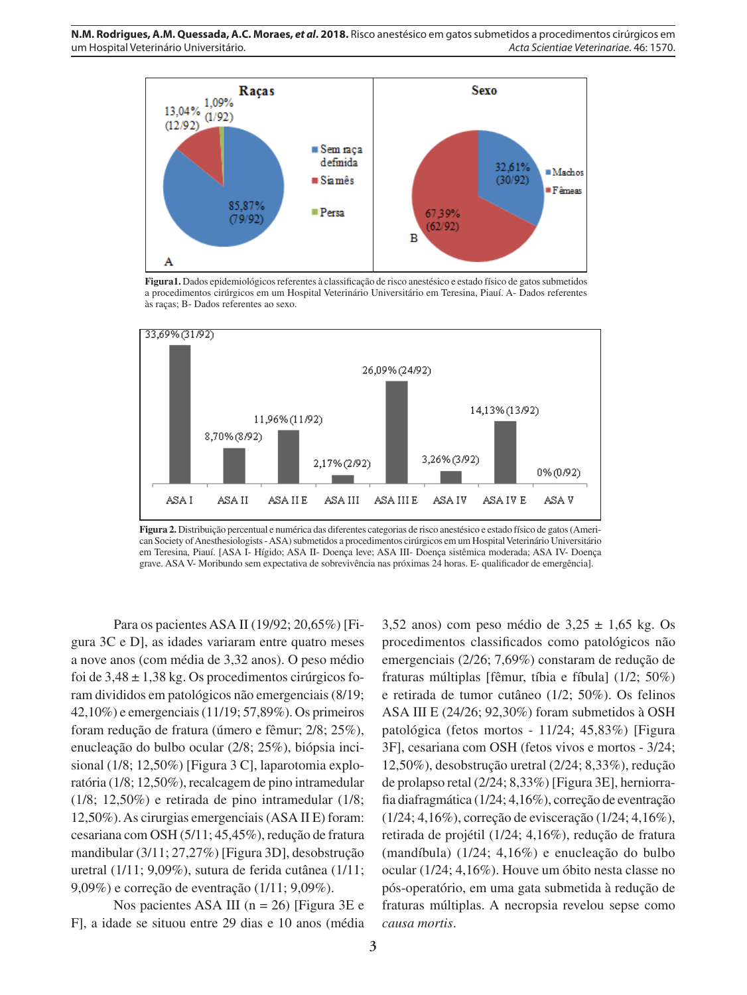

**Figura1.** Dados epidemiológicos referentes à classificação de risco anestésico e estado físico de gatos submetidos a procedimentos cirúrgicos em um Hospital Veterinário Universitário em Teresina, Piauí. A- Dados referentes às raças; B- Dados referentes ao sexo.



**Figura 2.** Distribuição percentual e numérica das diferentes categorias de risco anestésico e estado físico de gatos (American Society of Anesthesiologists - ASA) submetidos a procedimentos cirúrgicos em um Hospital Veterinário Universitário em Teresina, Piauí. [ASA I- Hígido; ASA II- Doença leve; ASA III- Doença sistêmica moderada; ASA IV- Doença grave. ASA V- Moribundo sem expectativa de sobrevivência nas próximas 24 horas. E- qualificador de emergência].

Para os pacientes ASA II (19/92; 20,65%) [Figura 3C e D], as idades variaram entre quatro meses a nove anos (com média de 3,32 anos). O peso médio foi de  $3,48 \pm 1,38$  kg. Os procedimentos cirúrgicos foram divididos em patológicos não emergenciais (8/19; 42,10%) e emergenciais (11/19; 57,89%). Os primeiros foram redução de fratura (úmero e fêmur; 2/8; 25%), enucleação do bulbo ocular (2/8; 25%), biópsia incisional (1/8; 12,50%) [Figura 3 C], laparotomia exploratória (1/8; 12,50%), recalcagem de pino intramedular (1/8; 12,50%) e retirada de pino intramedular (1/8; 12,50%). As cirurgias emergenciais (ASA II E) foram: cesariana com OSH (5/11; 45,45%), redução de fratura mandibular (3/11; 27,27%) [Figura 3D], desobstrução uretral (1/11; 9,09%), sutura de ferida cutânea (1/11; 9,09%) e correção de eventração (1/11; 9,09%).

Nos pacientes ASA III ( $n = 26$ ) [Figura 3E e F], a idade se situou entre 29 dias e 10 anos (média

3,52 anos) com peso médio de  $3,25 \pm 1,65$  kg. Os procedimentos classificados como patológicos não emergenciais (2/26; 7,69%) constaram de redução de fraturas múltiplas [fêmur, tíbia e fíbula] (1/2; 50%) e retirada de tumor cutâneo (1/2; 50%). Os felinos ASA III E (24/26; 92,30%) foram submetidos à OSH patológica (fetos mortos - 11/24; 45,83%) [Figura 3F], cesariana com OSH (fetos vivos e mortos - 3/24; 12,50%), desobstrução uretral (2/24; 8,33%), redução de prolapso retal (2/24; 8,33%) [Figura 3E], herniorrafia diafragmática (1/24; 4,16%), correção de eventração (1/24; 4,16%), correção de evisceração (1/24; 4,16%), retirada de projétil (1/24; 4,16%), redução de fratura (mandíbula) (1/24; 4,16%) e enucleação do bulbo ocular (1/24; 4,16%). Houve um óbito nesta classe no pós-operatório, em uma gata submetida à redução de fraturas múltiplas. A necropsia revelou sepse como *causa mortis*.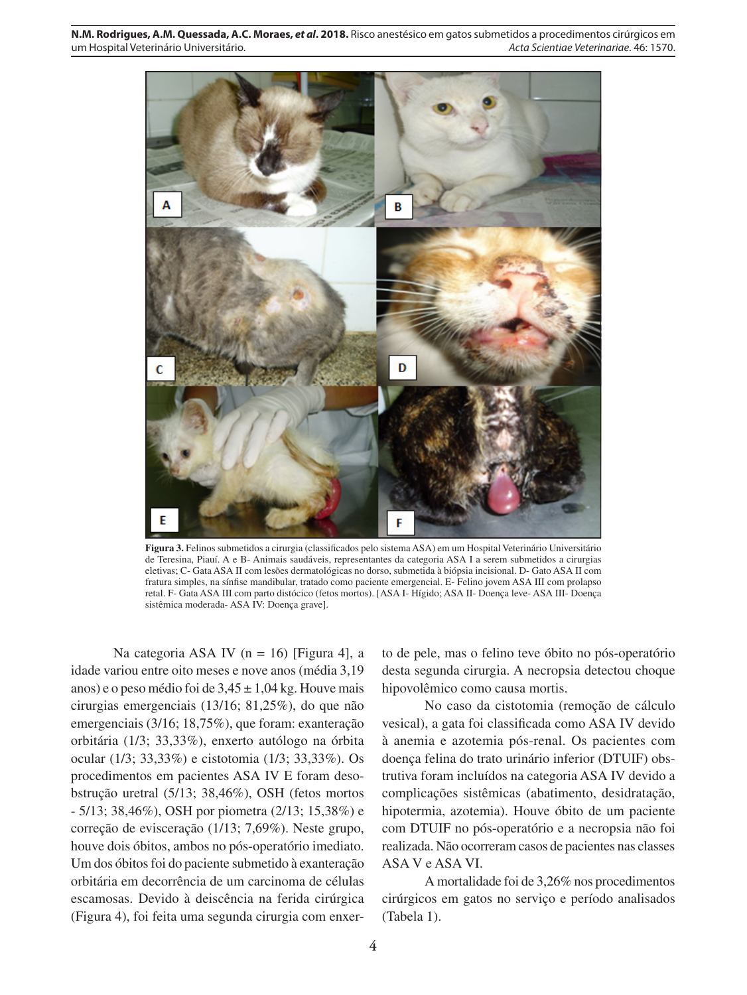**N.M. Rodrigues, A.M. Quessada, A.C. Moraes,** *et al***. 2018.** Risco anestésico em gatos submetidos a procedimentos cirúrgicos em um Hospital Veterinário Universitário. *Acta Scientiae Veterinariae*. 46: 1570.



**Figura 3.** Felinos submetidos a cirurgia (classificados pelo sistema ASA) em um Hospital Veterinário Universitário de Teresina, Piauí. A e B- Animais saudáveis, representantes da categoria ASA I a serem submetidos a cirurgias eletivas; C- Gata ASA II com lesões dermatológicas no dorso, submetida à biópsia incisional. D- Gato ASA II com fratura simples, na sínfise mandibular, tratado como paciente emergencial. E- Felino jovem ASA III com prolapso retal. F- Gata ASA III com parto distócico (fetos mortos). [ASA I- Hígido; ASA II- Doença leve- ASA III- Doença sistêmica moderada- ASA IV: Doença grave].

Na categoria ASA IV (n = 16) [Figura 4], a idade variou entre oito meses e nove anos (média 3,19 anos) e o peso médio foi de  $3,45 \pm 1,04$  kg. Houve mais cirurgias emergenciais (13/16; 81,25%), do que não emergenciais (3/16; 18,75%), que foram: exanteração orbitária (1/3; 33,33%), enxerto autólogo na órbita ocular (1/3; 33,33%) e cistotomia (1/3; 33,33%). Os procedimentos em pacientes ASA IV E foram desobstrução uretral (5/13; 38,46%), OSH (fetos mortos - 5/13; 38,46%), OSH por piometra (2/13; 15,38%) e correção de evisceração (1/13; 7,69%). Neste grupo, houve dois óbitos, ambos no pós-operatório imediato. Um dos óbitos foi do paciente submetido à exanteração orbitária em decorrência de um carcinoma de células escamosas. Devido à deiscência na ferida cirúrgica (Figura 4), foi feita uma segunda cirurgia com enxer-

to de pele, mas o felino teve óbito no pós-operatório desta segunda cirurgia. A necropsia detectou choque hipovolêmico como causa mortis.

No caso da cistotomia (remoção de cálculo vesical), a gata foi classificada como ASA IV devido à anemia e azotemia pós-renal. Os pacientes com doença felina do trato urinário inferior (DTUIF) obstrutiva foram incluídos na categoria ASA IV devido a complicações sistêmicas (abatimento, desidratação, hipotermia, azotemia). Houve óbito de um paciente com DTUIF no pós-operatório e a necropsia não foi realizada. Não ocorreram casos de pacientes nas classes ASA V e ASA VI.

A mortalidade foi de 3,26% nos procedimentos cirúrgicos em gatos no serviço e período analisados (Tabela 1).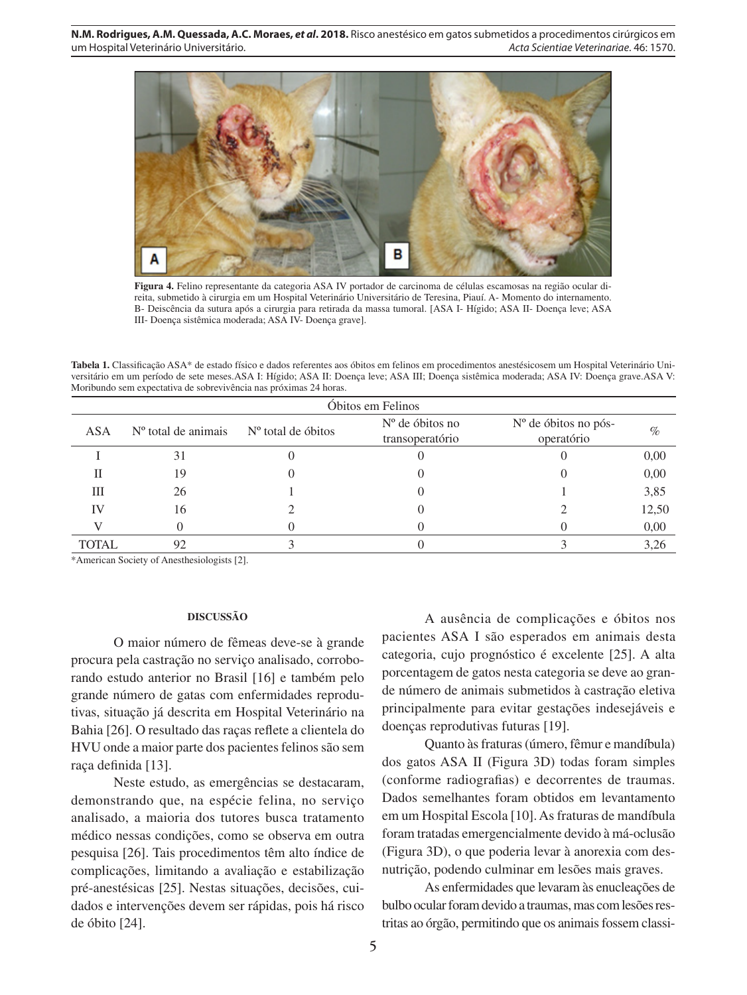

**Figura 4.** Felino representante da categoria ASA IV portador de carcinoma de células escamosas na região ocular direita, submetido à cirurgia em um Hospital Veterinário Universitário de Teresina, Piauí. A- Momento do internamento. B- Deiscência da sutura após a cirurgia para retirada da massa tumoral. [ASA I- Hígido; ASA II- Doença leve; ASA III- Doença sistêmica moderada; ASA IV- Doença grave].

**Tabela 1.** Classificação ASA\* de estado físico e dados referentes aos óbitos em felinos em procedimentos anestésicosem um Hospital Veterinário Universitário em um período de sete meses.ASA I: Hígido; ASA II: Doença leve; ASA III; Doença sistêmica moderada; ASA IV: Doença grave.ASA V: Moribundo sem expectativa de sobrevivência nas próximas 24 horas.

| Obitos em Felinos |                       |                      |                                      |                                      |       |
|-------------------|-----------------------|----------------------|--------------------------------------|--------------------------------------|-------|
| <b>ASA</b>        | $No$ total de animais | $No$ total de óbitos | $No$ de óbitos no<br>transoperatório | $No$ de óbitos no pós-<br>operatório | $\%$  |
|                   | 31                    |                      |                                      |                                      | 0,00  |
|                   | 19                    |                      |                                      |                                      | 0,00  |
| Ш                 | 26                    |                      |                                      |                                      | 3,85  |
| IV                | 16                    |                      |                                      |                                      | 12,50 |
|                   |                       |                      |                                      |                                      | 0,00  |
| <b>TOTAL</b>      | 92                    |                      |                                      |                                      | 3,26  |

\*American Society of Anesthesiologists [2].

#### **DISCUSSÃO**

O maior número de fêmeas deve-se à grande procura pela castração no serviço analisado, corroborando estudo anterior no Brasil [16] e também pelo grande número de gatas com enfermidades reprodutivas, situação já descrita em Hospital Veterinário na Bahia [26]. O resultado das raças reflete a clientela do HVU onde a maior parte dos pacientes felinos são sem raça definida [13].

Neste estudo, as emergências se destacaram, demonstrando que, na espécie felina, no serviço analisado, a maioria dos tutores busca tratamento médico nessas condições, como se observa em outra pesquisa [26]. Tais procedimentos têm alto índice de complicações, limitando a avaliação e estabilização pré-anestésicas [25]. Nestas situações, decisões, cuidados e intervenções devem ser rápidas, pois há risco de óbito [24].

A ausência de complicações e óbitos nos pacientes ASA I são esperados em animais desta categoria, cujo prognóstico é excelente [25]. A alta porcentagem de gatos nesta categoria se deve ao grande número de animais submetidos à castração eletiva principalmente para evitar gestações indesejáveis e doenças reprodutivas futuras [19].

Quanto às fraturas (úmero, fêmur e mandíbula) dos gatos ASA II (Figura 3D) todas foram simples (conforme radiografias) e decorrentes de traumas. Dados semelhantes foram obtidos em levantamento em um Hospital Escola [10]. As fraturas de mandíbula foram tratadas emergencialmente devido à má-oclusão (Figura 3D), o que poderia levar à anorexia com desnutrição, podendo culminar em lesões mais graves.

As enfermidades que levaram às enucleações de bulbo ocular foram devido a traumas, mas com lesões restritas ao órgão, permitindo que os animais fossem classi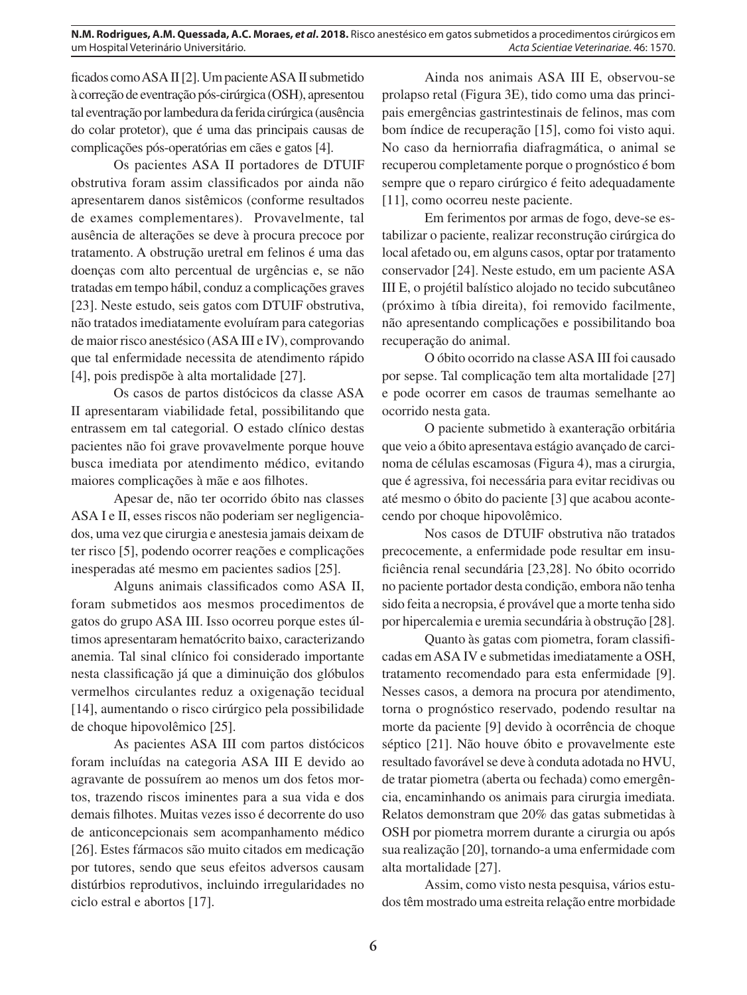ficados como ASA II [2]. Um paciente ASA II submetido à correção de eventração pós-cirúrgica (OSH), apresentou tal eventração por lambedura da ferida cirúrgica (ausência do colar protetor), que é uma das principais causas de complicações pós-operatórias em cães e gatos [4].

Os pacientes ASA II portadores de DTUIF obstrutiva foram assim classificados por ainda não apresentarem danos sistêmicos (conforme resultados de exames complementares). Provavelmente, tal ausência de alterações se deve à procura precoce por tratamento. A obstrução uretral em felinos é uma das doenças com alto percentual de urgências e, se não tratadas em tempo hábil, conduz a complicações graves [23]. Neste estudo, seis gatos com DTUIF obstrutiva, não tratados imediatamente evoluíram para categorias de maior risco anestésico (ASA III e IV), comprovando que tal enfermidade necessita de atendimento rápido [4], pois predispõe à alta mortalidade [27].

Os casos de partos distócicos da classe ASA II apresentaram viabilidade fetal, possibilitando que entrassem em tal categorial. O estado clínico destas pacientes não foi grave provavelmente porque houve busca imediata por atendimento médico, evitando maiores complicações à mãe e aos filhotes.

Apesar de, não ter ocorrido óbito nas classes ASA I e II, esses riscos não poderiam ser negligenciados, uma vez que cirurgia e anestesia jamais deixam de ter risco [5], podendo ocorrer reações e complicações inesperadas até mesmo em pacientes sadios [25].

Alguns animais classificados como ASA II, foram submetidos aos mesmos procedimentos de gatos do grupo ASA III. Isso ocorreu porque estes últimos apresentaram hematócrito baixo, caracterizando anemia. Tal sinal clínico foi considerado importante nesta classificação já que a diminuição dos glóbulos vermelhos circulantes reduz a oxigenação tecidual [14], aumentando o risco cirúrgico pela possibilidade de choque hipovolêmico [25].

As pacientes ASA III com partos distócicos foram incluídas na categoria ASA III E devido ao agravante de possuírem ao menos um dos fetos mortos, trazendo riscos iminentes para a sua vida e dos demais filhotes. Muitas vezes isso é decorrente do uso de anticoncepcionais sem acompanhamento médico [26]. Estes fármacos são muito citados em medicação por tutores, sendo que seus efeitos adversos causam distúrbios reprodutivos, incluindo irregularidades no ciclo estral e abortos [17].

Ainda nos animais ASA III E, observou-se prolapso retal (Figura 3E), tido como uma das principais emergências gastrintestinais de felinos, mas com bom índice de recuperação [15], como foi visto aqui. No caso da herniorrafia diafragmática, o animal se recuperou completamente porque o prognóstico é bom sempre que o reparo cirúrgico é feito adequadamente [11], como ocorreu neste paciente.

Em ferimentos por armas de fogo, deve-se estabilizar o paciente, realizar reconstrução cirúrgica do local afetado ou, em alguns casos, optar por tratamento conservador [24]. Neste estudo, em um paciente ASA III E, o projétil balístico alojado no tecido subcutâneo (próximo à tíbia direita), foi removido facilmente, não apresentando complicações e possibilitando boa recuperação do animal.

O óbito ocorrido na classe ASA III foi causado por sepse. Tal complicação tem alta mortalidade [27] e pode ocorrer em casos de traumas semelhante ao ocorrido nesta gata.

O paciente submetido à exanteração orbitária que veio a óbito apresentava estágio avançado de carcinoma de células escamosas (Figura 4), mas a cirurgia, que é agressiva, foi necessária para evitar recidivas ou até mesmo o óbito do paciente [3] que acabou acontecendo por choque hipovolêmico.

Nos casos de DTUIF obstrutiva não tratados precocemente, a enfermidade pode resultar em insuficiência renal secundária [23,28]. No óbito ocorrido no paciente portador desta condição, embora não tenha sido feita a necropsia, é provável que a morte tenha sido por hipercalemia e uremia secundária à obstrução [28].

Quanto às gatas com piometra, foram classificadas em ASA IV e submetidas imediatamente a OSH, tratamento recomendado para esta enfermidade [9]. Nesses casos, a demora na procura por atendimento, torna o prognóstico reservado, podendo resultar na morte da paciente [9] devido à ocorrência de choque séptico [21]. Não houve óbito e provavelmente este resultado favorável se deve à conduta adotada no HVU, de tratar piometra (aberta ou fechada) como emergência, encaminhando os animais para cirurgia imediata. Relatos demonstram que 20% das gatas submetidas à OSH por piometra morrem durante a cirurgia ou após sua realização [20], tornando-a uma enfermidade com alta mortalidade [27].

Assim, como visto nesta pesquisa, vários estudos têm mostrado uma estreita relação entre morbidade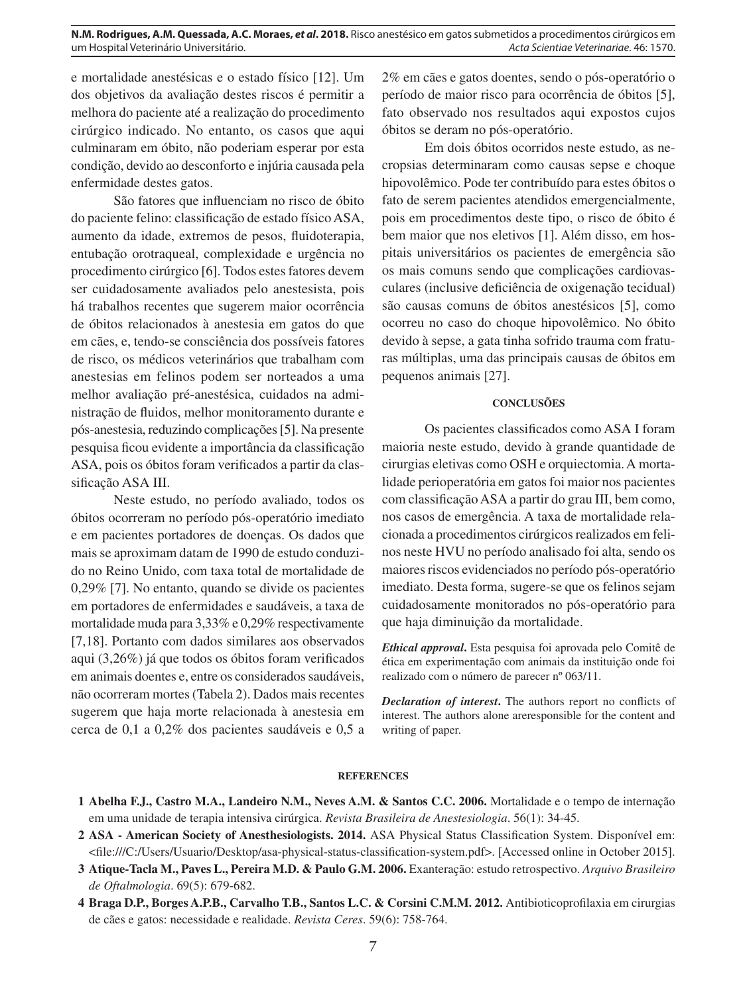e mortalidade anestésicas e o estado físico [12]. Um dos objetivos da avaliação destes riscos é permitir a melhora do paciente até a realização do procedimento cirúrgico indicado. No entanto, os casos que aqui culminaram em óbito, não poderiam esperar por esta condição, devido ao desconforto e injúria causada pela enfermidade destes gatos.

São fatores que influenciam no risco de óbito do paciente felino: classificação de estado físico ASA, aumento da idade, extremos de pesos, fluidoterapia, entubação orotraqueal, complexidade e urgência no procedimento cirúrgico [6]. Todos estes fatores devem ser cuidadosamente avaliados pelo anestesista, pois há trabalhos recentes que sugerem maior ocorrência de óbitos relacionados à anestesia em gatos do que em cães, e, tendo-se consciência dos possíveis fatores de risco, os médicos veterinários que trabalham com anestesias em felinos podem ser norteados a uma melhor avaliação pré-anestésica, cuidados na administração de fluidos, melhor monitoramento durante e pós-anestesia, reduzindo complicações [5]. Na presente pesquisa ficou evidente a importância da classificação ASA, pois os óbitos foram verificados a partir da classificação ASA III.

Neste estudo, no período avaliado, todos os óbitos ocorreram no período pós-operatório imediato e em pacientes portadores de doenças. Os dados que mais se aproximam datam de 1990 de estudo conduzido no Reino Unido, com taxa total de mortalidade de 0,29% [7]. No entanto, quando se divide os pacientes em portadores de enfermidades e saudáveis, a taxa de mortalidade muda para 3,33% e 0,29% respectivamente [7,18]. Portanto com dados similares aos observados aqui (3,26%) já que todos os óbitos foram verificados em animais doentes e, entre os considerados saudáveis, não ocorreram mortes (Tabela 2). Dados mais recentes sugerem que haja morte relacionada à anestesia em cerca de 0,1 a 0,2% dos pacientes saudáveis e 0,5 a 2% em cães e gatos doentes, sendo o pós-operatório o período de maior risco para ocorrência de óbitos [5], fato observado nos resultados aqui expostos cujos óbitos se deram no pós-operatório.

Em dois óbitos ocorridos neste estudo, as necropsias determinaram como causas sepse e choque hipovolêmico. Pode ter contribuído para estes óbitos o fato de serem pacientes atendidos emergencialmente, pois em procedimentos deste tipo, o risco de óbito é bem maior que nos eletivos [1]. Além disso, em hospitais universitários os pacientes de emergência são os mais comuns sendo que complicações cardiovasculares (inclusive deficiência de oxigenação tecidual) são causas comuns de óbitos anestésicos [5], como ocorreu no caso do choque hipovolêmico. No óbito devido à sepse, a gata tinha sofrido trauma com fraturas múltiplas, uma das principais causas de óbitos em pequenos animais [27].

## **CONCLUSÕES**

Os pacientes classificados como ASA I foram maioria neste estudo, devido à grande quantidade de cirurgias eletivas como OSH e orquiectomia. A mortalidade perioperatória em gatos foi maior nos pacientes com classificação ASA a partir do grau III, bem como, nos casos de emergência. A taxa de mortalidade relacionada a procedimentos cirúrgicos realizados em felinos neste HVU no período analisado foi alta, sendo os maiores riscos evidenciados no período pós-operatório imediato. Desta forma, sugere-se que os felinos sejam cuidadosamente monitorados no pós-operatório para que haja diminuição da mortalidade.

*Ethical approval***.** Esta pesquisa foi aprovada pelo Comitê de ética em experimentação com animais da instituição onde foi realizado com o número de parecer nº 063/11.

*Declaration of interest***.** The authors report no conflicts of interest. The authors alone areresponsible for the content and writing of paper.

## **REFERENCES**

- **1 Abelha F.J., Castro M.A., Landeiro N.M., Neves A.M. & Santos C.C. 2006.** Mortalidade e o tempo de internação em uma unidade de terapia intensiva cirúrgica. *Revista Brasileira de Anestesiologia*. 56(1): 34-45.
- **2 ASA American Society of Anesthesiologists. 2014.** ASA Physical Status Classification System. Disponível em: <file:///C:/Users/Usuario/Desktop/asa-physical-status-classification-system.pdf>. [Accessed online in October 2015].
- **3 Atique-Tacla M., Paves L., Pereira M.D. & Paulo G.M. 2006.** Exanteração: estudo retrospectivo. *Arquivo Brasileiro de Oftalmologia*. 69(5): 679-682.
- **4 Braga D.P., Borges A.P.B., Carvalho T.B., Santos L.C. & Corsini C.M.M. 2012.** Antibioticoprofilaxia em cirurgias de cães e gatos: necessidade e realidade. *Revista Ceres*. 59(6): 758-764.